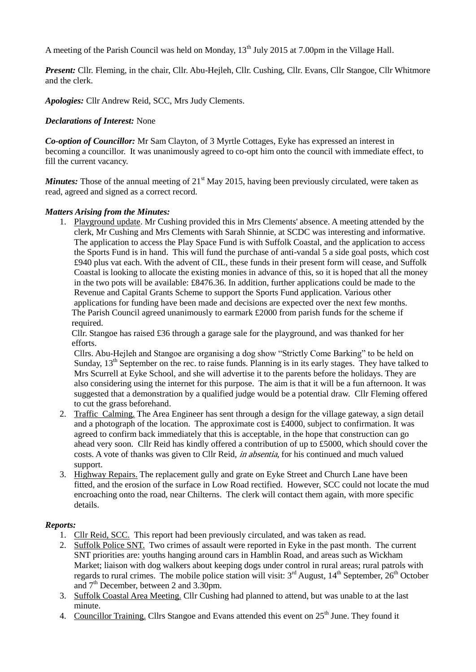A meeting of the Parish Council was held on Monday,  $13<sup>th</sup>$  July 2015 at 7.00pm in the Village Hall.

*Present: Cllr. Fleming, in the chair, Cllr. Abu-Hejleh, Cllr. Cushing, Cllr. Evans, Cllr Stangoe, Cllr Whitmore* and the clerk.

*Apologies:* Cllr Andrew Reid, SCC, Mrs Judy Clements.

# *Declarations of Interest:* None

*Co-option of Councillor:* Mr Sam Clayton, of 3 Myrtle Cottages, Eyke has expressed an interest in becoming a councillor. It was unanimously agreed to co-opt him onto the council with immediate effect, to fill the current vacancy.

*Minutes:* Those of the annual meeting of 21<sup>st</sup> May 2015, having been previously circulated, were taken as read, agreed and signed as a correct record.

# *Matters Arising from the Minutes:*

1. Playground update. Mr Cushing provided this in Mrs Clements' absence. A meeting attended by the clerk, Mr Cushing and Mrs Clements with Sarah Shinnie, at SCDC was interesting and informative. The application to access the Play Space Fund is with Suffolk Coastal, and the application to access the Sports Fund is in hand. This will fund the purchase of anti-vandal 5 a side goal posts, which cost £940 plus vat each. With the advent of CIL, these funds in their present form will cease, and Suffolk Coastal is looking to allocate the existing monies in advance of this, so it is hoped that all the money in the two pots will be available: £8476.36. In addition, further applications could be made to the Revenue and Capital Grants Scheme to support the Sports Fund application. Various other applications for funding have been made and decisions are expected over the next few months. The Parish Council agreed unanimously to earmark £2000 from parish funds for the scheme if required.

Cllr. Stangoe has raised £36 through a garage sale for the playground, and was thanked for her efforts.

Cllrs. Abu-Hejleh and Stangoe are organising a dog show "Strictly Come Barking" to be held on Sunday, 13<sup>th</sup> September on the rec. to raise funds. Planning is in its early stages. They have talked to Mrs Scurrell at Eyke School, and she will advertise it to the parents before the holidays. They are also considering using the internet for this purpose. The aim is that it will be a fun afternoon. It was suggested that a demonstration by a qualified judge would be a potential draw. Cllr Fleming offered to cut the grass beforehand.

- 2. Traffic Calming. The Area Engineer has sent through a design for the village gateway, a sign detail and a photograph of the location. The approximate cost is £4000, subject to confirmation. It was agreed to confirm back immediately that this is acceptable, in the hope that construction can go ahead very soon. Cllr Reid has kindly offered a contribution of up to £5000, which should cover the costs. A vote of thanks was given to Cllr Reid, in absentia, for his continued and much valued support.
- 3. Highway Repairs. The replacement gully and grate on Eyke Street and Church Lane have been fitted, and the erosion of the surface in Low Road rectified. However, SCC could not locate the mud encroaching onto the road, near Chilterns. The clerk will contact them again, with more specific details.

# *Reports:*

- 1. Cllr Reid, SCC. This report had been previously circulated, and was taken as read.
- 2. Suffolk Police SNT. Two crimes of assault were reported in Eyke in the past month. The current SNT priorities are: youths hanging around cars in Hamblin Road, and areas such as Wickham Market; liaison with dog walkers about keeping dogs under control in rural areas; rural patrols with regards to rural crimes. The mobile police station will visit: 3<sup>rd</sup> August, 14<sup>th</sup> September, 26<sup>th</sup> October and  $7<sup>th</sup>$  December, between 2 and 3.30pm.
- 3. Suffolk Coastal Area Meeting. Cllr Cushing had planned to attend, but was unable to at the last minute.
- 4. Councillor Training. Cllrs Stangoe and Evans attended this event on 25<sup>th</sup> June. They found it